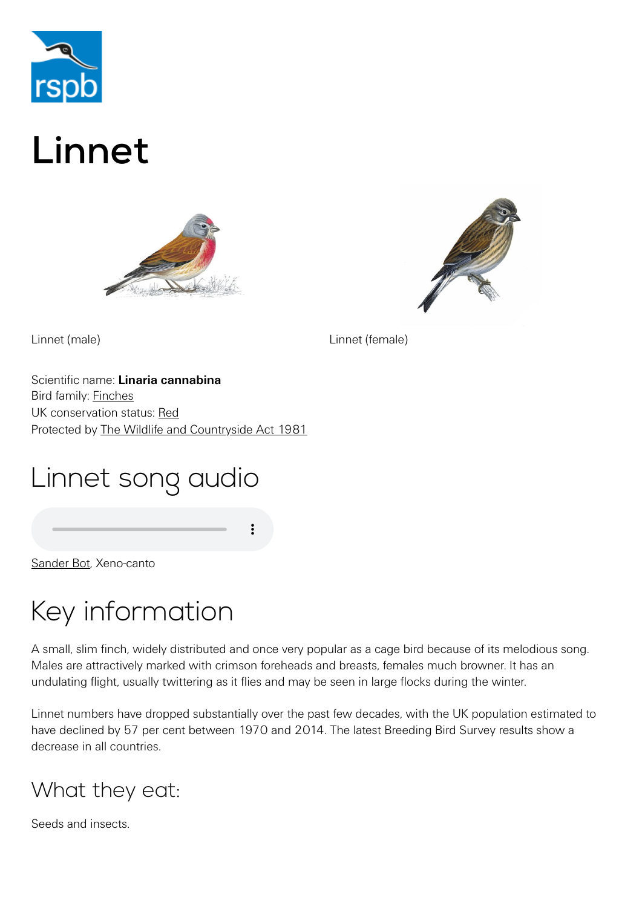

# Linnet





Linnet (male) Linnet (female)

Scientific name: **Linaria cannabina** Bird family: [Finches](https://www.rspb.org.uk/birds-and-wildlife/wildlife-guides/bird-a-z/finch-family/) UK conservation status: [Red](https://www.rspb.org.uk/birds-and-wildlife/wildlife-guides/uk-conservation-status-explained/) Protected by [The Wildlife and Countryside Act 1981](https://www.rspb.org.uk/birds-and-wildlife/advice/wildlife-and-the-law/wildlife-and-countryside-act/)

# Linnet song audio

[Sander Bot,](http://www.xeno-canto.org/35189) Xeno-canto

# Key information

A small, slim finch, widely distributed and once very popular as a cage bird because of its melodious song. Males are attractively marked with crimson foreheads and breasts, females much browner. It has an undulating flight, usually twittering as it flies and may be seen in large flocks during the winter.

Linnet numbers have dropped substantially over the past few decades, with the UK population estimated to have declined by 57 per cent between 1970 and 2014. The latest Breeding Bird Survey results show a decrease in all countries.

### What they eat:

Seeds and insects.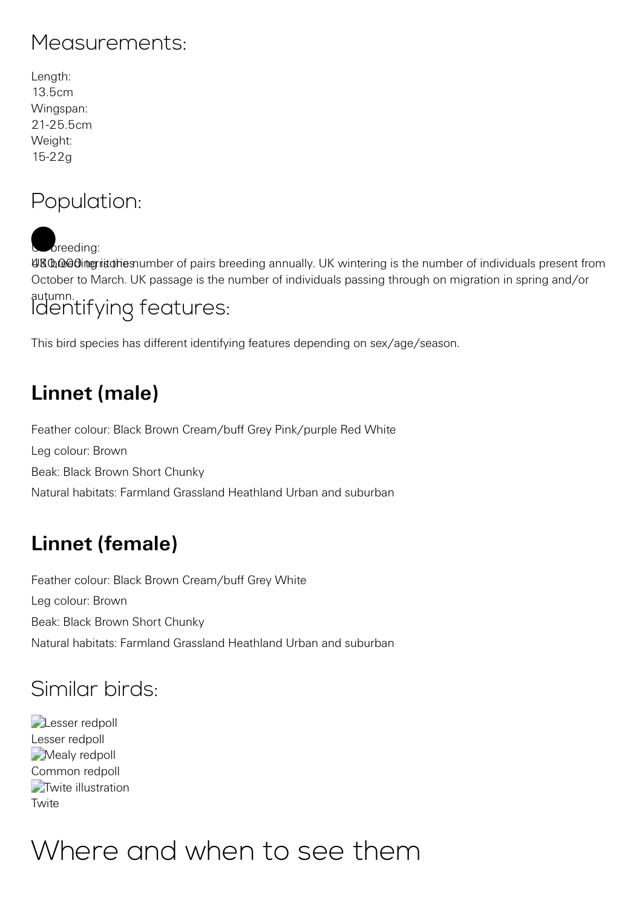### Measurements:

| Length:    |
|------------|
| 13.5cm     |
| Wingspan:  |
| 21-25 5cm  |
| Weight:    |
| $15 - 22g$ |

### Population:

breeding:

UKO.cooling intumber of pairs breeding annually. UK wintering is the number of individuals present from October to March. UK passage is the number of individuals passing through on migration in spring and/or

#### autumn. Identifying features:

This bird species has different identifying features depending on sex/age/season.

### **Linnet (male)**

Feather colour: Black Brown Cream/buff Grey Pink/purple Red White Leg colour: Brown Beak: Black Brown Short Chunky Natural habitats: Farmland Grassland Heathland Urban and suburban

### **Linnet (female)**

Feather colour: Black Brown Cream/buff Grey White Leg colour: Brown Beak: Black Brown Short Chunky Natural habitats: Farmland Grassland Heathland Urban and suburban

### Similar birds:

**Lesser** redpoll Lesser redpoll Mealy redpoll [Common redpoll](https://www.rspb.org.uk/birds-and-wildlife/wildlife-guides/bird-a-z/common-redpoll/) **[Twite illustration](https://www.rspb.org.uk/birds-and-wildlife/wildlife-guides/bird-a-z/twite/) Twite** 

# Where and when to see them